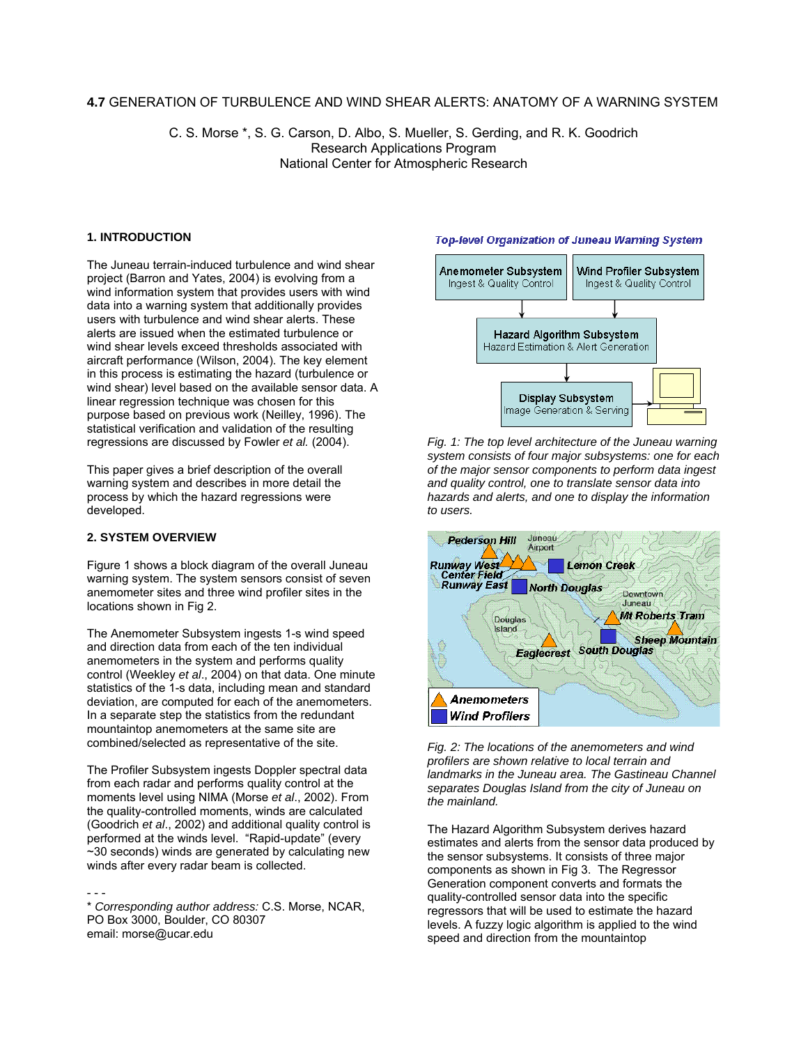# **4.7** GENERATION OF TURBULENCE AND WIND SHEAR ALERTS: ANATOMY OF A WARNING SYSTEM

C. S. Morse \*, S. G. Carson, D. Albo, S. Mueller, S. Gerding, and R. K. Goodrich Research Applications Program National Center for Atmospheric Research

# **1. INTRODUCTION**

The Juneau terrain-induced turbulence and wind shear project (Barron and Yates, 2004) is evolving from a wind information system that provides users with wind data into a warning system that additionally provides users with turbulence and wind shear alerts. These alerts are issued when the estimated turbulence or wind shear levels exceed thresholds associated with aircraft performance (Wilson, 2004). The key element in this process is estimating the hazard (turbulence or wind shear) level based on the available sensor data. A linear regression technique was chosen for this purpose based on previous work (Neilley, 1996). The statistical verification and validation of the resulting regressions are discussed by Fowler *et al.* (2004).

This paper gives a brief description of the overall warning system and describes in more detail the process by which the hazard regressions were developed.

# **2. SYSTEM OVERVIEW**

Figure 1 shows a block diagram of the overall Juneau warning system. The system sensors consist of seven anemometer sites and three wind profiler sites in the locations shown in Fig 2.

The Anemometer Subsystem ingests 1-s wind speed and direction data from each of the ten individual anemometers in the system and performs quality control (Weekley *et al*., 2004) on that data. One minute statistics of the 1-s data, including mean and standard deviation, are computed for each of the anemometers. In a separate step the statistics from the redundant mountaintop anemometers at the same site are combined/selected as representative of the site.

The Profiler Subsystem ingests Doppler spectral data from each radar and performs quality control at the moments level using NIMA (Morse *et al*., 2002). From the quality-controlled moments, winds are calculated (Goodrich *et al*., 2002) and additional quality control is performed at the winds level. "Rapid-update" (every ~30 seconds) winds are generated by calculating new winds after every radar beam is collected.

- - - \* *Corresponding author address:* C.S. Morse, NCAR, PO Box 3000, Boulder, CO 80307 email: morse@ucar.edu

#### **Top-level Organization of Juneau Warning System**



*Fig. 1: The top level architecture of the Juneau warning system consists of four major subsystems: one for each of the major sensor components to perform data ingest and quality control, one to translate sensor data into hazards and alerts, and one to display the information to users.* 



*Fig. 2: The locations of the anemometers and wind profilers are shown relative to local terrain and landmarks in the Juneau area. The Gastineau Channel separates Douglas Island from the city of Juneau on the mainland.*

The Hazard Algorithm Subsystem derives hazard estimates and alerts from the sensor data produced by the sensor subsystems. It consists of three major components as shown in Fig 3. The Regressor Generation component converts and formats the quality-controlled sensor data into the specific regressors that will be used to estimate the hazard levels. A fuzzy logic algorithm is applied to the wind speed and direction from the mountaintop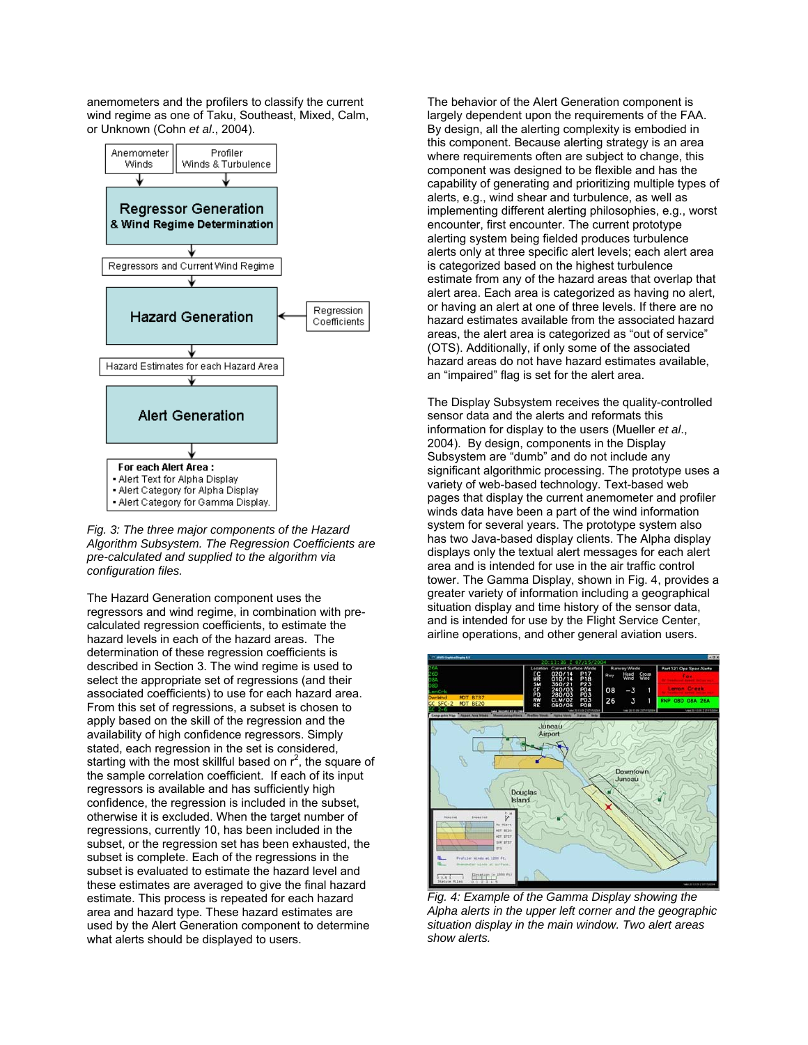anemometers and the profilers to classify the current wind regime as one of Taku, Southeast, Mixed, Calm, or Unknown (Cohn *et al*., 2004).



*Fig. 3: The three major components of the Hazard Algorithm Subsystem. The Regression Coefficients are pre-calculated and supplied to the algorithm via configuration files.*

The Hazard Generation component uses the regressors and wind regime, in combination with precalculated regression coefficients, to estimate the hazard levels in each of the hazard areas. The determination of these regression coefficients is described in Section 3. The wind regime is used to select the appropriate set of regressions (and their associated coefficients) to use for each hazard area. From this set of regressions, a subset is chosen to apply based on the skill of the regression and the availability of high confidence regressors. Simply stated, each regression in the set is considered, starting with the most skillful based on  $r^2$ , the square of the sample correlation coefficient. If each of its input regressors is available and has sufficiently high confidence, the regression is included in the subset, otherwise it is excluded. When the target number of regressions, currently 10, has been included in the subset, or the regression set has been exhausted, the subset is complete. Each of the regressions in the subset is evaluated to estimate the hazard level and these estimates are averaged to give the final hazard estimate. This process is repeated for each hazard area and hazard type. These hazard estimates are used by the Alert Generation component to determine what alerts should be displayed to users.

The behavior of the Alert Generation component is largely dependent upon the requirements of the FAA. By design, all the alerting complexity is embodied in this component. Because alerting strategy is an area where requirements often are subject to change, this component was designed to be flexible and has the capability of generating and prioritizing multiple types of alerts, e.g., wind shear and turbulence, as well as implementing different alerting philosophies, e.g., worst encounter, first encounter. The current prototype alerting system being fielded produces turbulence alerts only at three specific alert levels; each alert area is categorized based on the highest turbulence estimate from any of the hazard areas that overlap that alert area. Each area is categorized as having no alert, or having an alert at one of three levels. If there are no hazard estimates available from the associated hazard areas, the alert area is categorized as "out of service" (OTS). Additionally, if only some of the associated hazard areas do not have hazard estimates available, an "impaired" flag is set for the alert area.

The Display Subsystem receives the quality-controlled sensor data and the alerts and reformats this information for display to the users (Mueller *et al*., 2004). By design, components in the Display Subsystem are "dumb" and do not include any significant algorithmic processing. The prototype uses a variety of web-based technology. Text-based web pages that display the current anemometer and profiler winds data have been a part of the wind information system for several years. The prototype system also has two Java-based display clients. The Alpha display displays only the textual alert messages for each alert area and is intended for use in the air traffic control tower. The Gamma Display, shown in Fig. 4, provides a greater variety of information including a geographical situation display and time history of the sensor data, and is intended for use by the Flight Service Center, airline operations, and other general aviation users.



*Fig. 4: Example of the Gamma Display showing the Alpha alerts in the upper left corner and the geographic situation display in the main window. Two alert areas show alerts.*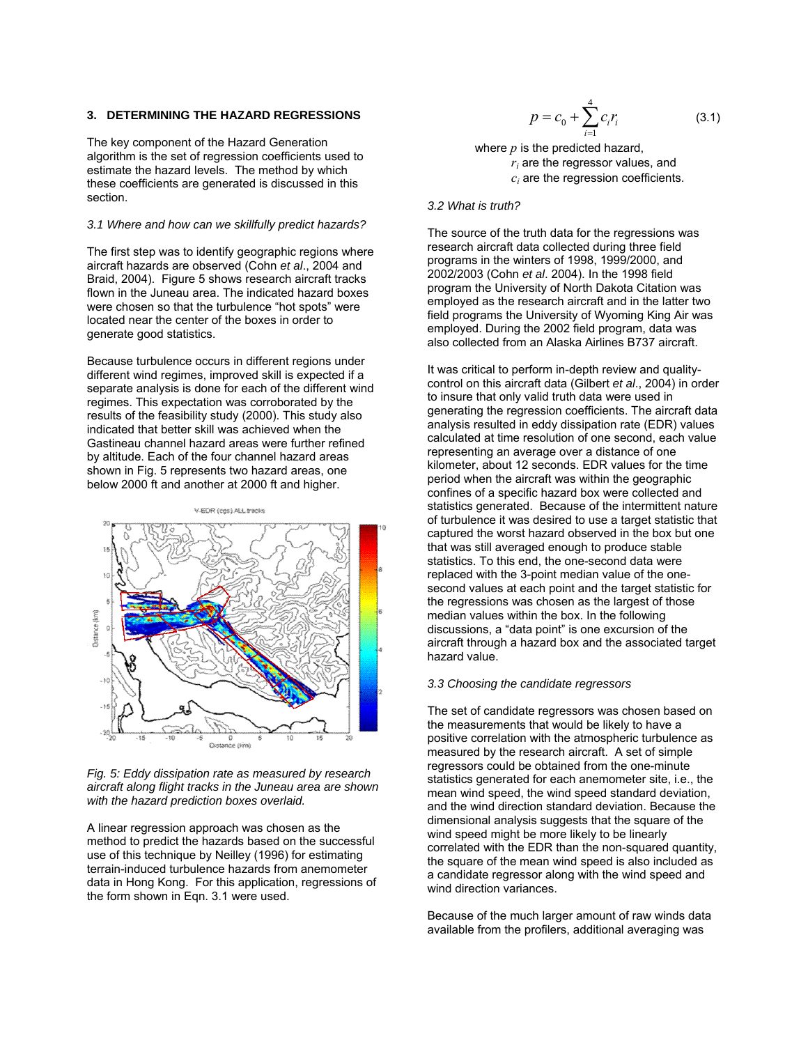# **3. DETERMINING THE HAZARD REGRESSIONS**

The key component of the Hazard Generation algorithm is the set of regression coefficients used to estimate the hazard levels. The method by which these coefficients are generated is discussed in this section.

## *3.1 Where and how can we skillfully predict hazards?*

The first step was to identify geographic regions where aircraft hazards are observed (Cohn *et al*., 2004 and Braid, 2004). Figure 5 shows research aircraft tracks flown in the Juneau area. The indicated hazard boxes were chosen so that the turbulence "hot spots" were located near the center of the boxes in order to generate good statistics.

Because turbulence occurs in different regions under different wind regimes, improved skill is expected if a separate analysis is done for each of the different wind regimes. This expectation was corroborated by the results of the feasibility study (2000). This study also indicated that better skill was achieved when the Gastineau channel hazard areas were further refined by altitude. Each of the four channel hazard areas shown in Fig. 5 represents two hazard areas, one below 2000 ft and another at 2000 ft and higher.



#### *Fig. 5: Eddy dissipation rate as measured by research aircraft along flight tracks in the Juneau area are shown with the hazard prediction boxes overlaid.*

A linear regression approach was chosen as the method to predict the hazards based on the successful use of this technique by Neilley (1996) for estimating terrain-induced turbulence hazards from anemometer data in Hong Kong. For this application, regressions of the form shown in Eqn. 3.1 were used.

$$
p = c_0 + \sum_{i=1}^{4} c_i r_i \tag{3.1}
$$

where *p* is the predicted hazard,  $r_i$  are the regressor values, and *ci* are the regression coefficients.

#### *3.2 What is truth?*

The source of the truth data for the regressions was research aircraft data collected during three field programs in the winters of 1998, 1999/2000, and 2002/2003 (Cohn *et al*. 2004). In the 1998 field program the University of North Dakota Citation was employed as the research aircraft and in the latter two field programs the University of Wyoming King Air was employed. During the 2002 field program, data was also collected from an Alaska Airlines B737 aircraft.

It was critical to perform in-depth review and qualitycontrol on this aircraft data (Gilbert *et al*., 2004) in order to insure that only valid truth data were used in generating the regression coefficients. The aircraft data analysis resulted in eddy dissipation rate (EDR) values calculated at time resolution of one second, each value representing an average over a distance of one kilometer, about 12 seconds. EDR values for the time period when the aircraft was within the geographic confines of a specific hazard box were collected and statistics generated. Because of the intermittent nature of turbulence it was desired to use a target statistic that captured the worst hazard observed in the box but one that was still averaged enough to produce stable statistics. To this end, the one-second data were replaced with the 3-point median value of the onesecond values at each point and the target statistic for the regressions was chosen as the largest of those median values within the box. In the following discussions, a "data point" is one excursion of the aircraft through a hazard box and the associated target hazard value.

#### *3.3 Choosing the candidate regressors*

The set of candidate regressors was chosen based on the measurements that would be likely to have a positive correlation with the atmospheric turbulence as measured by the research aircraft. A set of simple regressors could be obtained from the one-minute statistics generated for each anemometer site, i.e., the mean wind speed, the wind speed standard deviation, and the wind direction standard deviation. Because the dimensional analysis suggests that the square of the wind speed might be more likely to be linearly correlated with the EDR than the non-squared quantity, the square of the mean wind speed is also included as a candidate regressor along with the wind speed and wind direction variances.

Because of the much larger amount of raw winds data available from the profilers, additional averaging was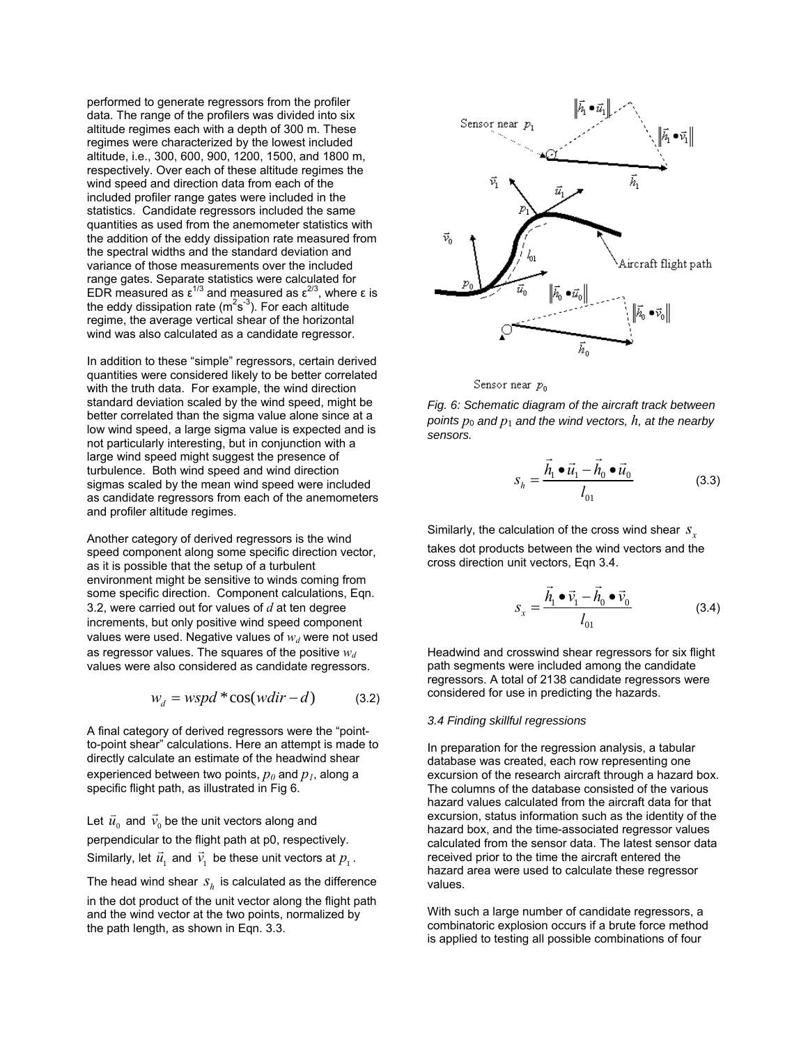performed to generate regressors from the profiler data. The range of the profilers was divided into six altitude regimes each with a depth of 300 m. These regimes were characterized by the lowest included altitude, i.e., 300, 600, 900, 1200, 1500, and 1800 m, respectively. Over each of these altitude regimes the wind speed and direction data from each of the included profiler range gates were included in the statistics. Candidate regressors included the same quantities as used from the anemometer statistics with the addition of the eddy dissipation rate measured from the spectral widths and the standard deviation and variance of those measurements over the included range gates. Separate statistics were calculated for EDR measured as  $ε^{1/3}$  and measured as  $ε^{2/3}$ , where ε is the eddy dissipation rate ( $m<sup>2</sup>s<sup>-3</sup>$ ). For each altitude regime, the average vertical shear of the horizontal wind was also calculated as a candidate regressor.

In addition to these "simple" regressors, certain derived quantities were considered likely to be better correlated with the truth data. For example, the wind direction standard deviation scaled by the wind speed, might be better correlated than the sigma value alone since at a low wind speed, a large sigma value is expected and is not particularly interesting, but in conjunction with a large wind speed might suggest the presence of turbulence. Both wind speed and wind direction sigmas scaled by the mean wind speed were included as candidate regressors from each of the anemometers and profiler altitude regimes.

Another category of derived regressors is the wind speed component along some specific direction vector, as it is possible that the setup of a turbulent environment might be sensitive to winds coming from some specific direction. Component calculations, Eqn. 3.2, were carried out for values of *d* at ten degree increments, but only positive wind speed component values were used. Negative values of  $w_d$  were not used as regressor values. The squares of the positive  $w_d$ values were also considered as candidate regressors.

$$
w_d = wspd * \cos(wdir - d)
$$
 (3.2)

A final category of derived regressors were the "pointto-point shear" calculations. Here an attempt is made to directly calculate an estimate of the headwind shear experienced between two points,  $p_0$  and  $p_1$ , along a specific flight path, as illustrated in Fig 6.

Let  $\vec{u}^{\,}_{_0}$  and  $\vec{v}^{\,}_{_0}$  be the unit vectors along and perpendicular to the flight path at p0, respectively. Similarly, let  $\vec{u}_1$  and  $\vec{v}_1$  be these unit vectors at  $p_1$ .

The head wind shear  $s_h$  is calculated as the difference

in the dot product of the unit vector along the flight path and the wind vector at the two points, normalized by the path length, as shown in Eqn. 3.3.



Sensor near  $p_0$ 

*Fig. 6: Schematic diagram of the aircraft track between points*  $p_0$  *and*  $p_1$  *and the wind vectors,*  $h$ *, at the nearby sensors.* 

$$
S_h = \frac{\vec{h}_1 \bullet \vec{u}_1 - \vec{h}_0 \bullet \vec{u}_0}{l_{01}}
$$
(3.3)

Similarly, the calculation of the cross wind shear *<sup>x</sup> s* takes dot products between the wind vectors and the cross direction unit vectors, Eqn 3.4.

$$
S_x = \frac{\vec{h}_1 \bullet \vec{v}_1 - \vec{h}_0 \bullet \vec{v}_0}{l_{01}}
$$
 (3.4)

Headwind and crosswind shear regressors for six flight path segments were included among the candidate regressors. A total of 2138 candidate regressors were considered for use in predicting the hazards.

# *3.4 Finding skillful regressions*

In preparation for the regression analysis, a tabular database was created, each row representing one excursion of the research aircraft through a hazard box. The columns of the database consisted of the various hazard values calculated from the aircraft data for that excursion, status information such as the identity of the hazard box, and the time-associated regressor values calculated from the sensor data. The latest sensor data received prior to the time the aircraft entered the hazard area were used to calculate these regressor values.

With such a large number of candidate regressors, a combinatoric explosion occurs if a brute force method is applied to testing all possible combinations of four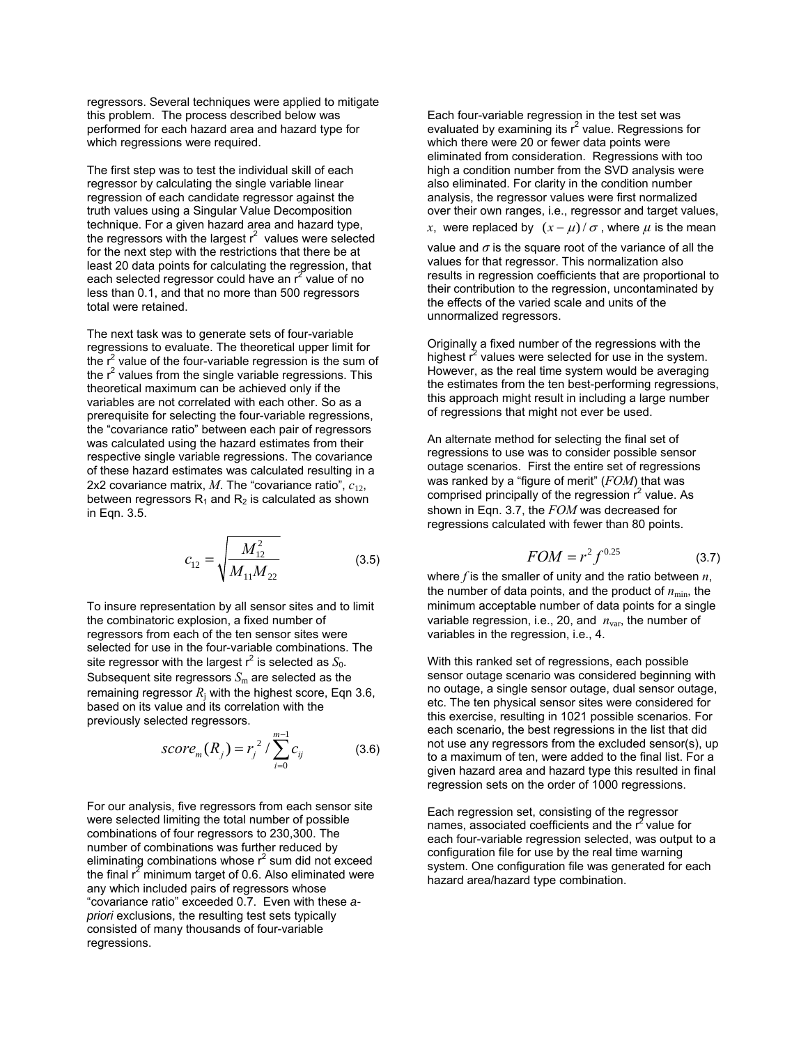regressors. Several techniques were applied to mitigate this problem. The process described below was performed for each hazard area and hazard type for which regressions were required.

The first step was to test the individual skill of each regressor by calculating the single variable linear regression of each candidate regressor against the truth values using a Singular Value Decomposition technique. For a given hazard area and hazard type, the regressors with the largest  $r^2$  values were selected for the next step with the restrictions that there be at least 20 data points for calculating the regression, that each selected regressor could have an  $r^2$  value of no less than 0.1, and that no more than 500 regressors total were retained.

The next task was to generate sets of four-variable regressions to evaluate. The theoretical upper limit for the  $r^2$  value of the four-variable regression is the sum of the  $r^2$  values from the single variable regressions. This theoretical maximum can be achieved only if the variables are not correlated with each other. So as a prerequisite for selecting the four-variable regressions, the "covariance ratio" between each pair of regressors was calculated using the hazard estimates from their respective single variable regressions. The covariance of these hazard estimates was calculated resulting in a 2x2 covariance matrix, *M*. The "covariance ratio", *c*12, between regressors  $R_1$  and  $R_2$  is calculated as shown in Eqn. 3.5.

$$
c_{12} = \sqrt{\frac{M_{12}^2}{M_{11}M_{22}}} \tag{3.5}
$$

To insure representation by all sensor sites and to limit the combinatoric explosion, a fixed number of regressors from each of the ten sensor sites were selected for use in the four-variable combinations. The site regressor with the largest  $r^2$  is selected as  $S_0$ . Subsequent site regressors  $S<sub>m</sub>$  are selected as the remaining regressor  $R_i$  with the highest score, Eqn 3.6, based on its value and its correlation with the previously selected regressors.

$$
score_m(R_j) = r_j^2 / \sum_{i=0}^{m-1} c_{ij}
$$
 (3.6)

For our analysis, five regressors from each sensor site were selected limiting the total number of possible combinations of four regressors to 230,300. The number of combinations was further reduced by eliminating combinations whose  $r^2$  sum did not exceed the final  $r^2$  minimum target of 0.6. Also eliminated were any which included pairs of regressors whose "covariance ratio" exceeded 0.7. Even with these *apriori* exclusions, the resulting test sets typically consisted of many thousands of four-variable regressions.

Each four-variable regression in the test set was evaluated by examining its  $r^2$  value. Regressions for which there were 20 or fewer data points were eliminated from consideration. Regressions with too high a condition number from the SVD analysis were also eliminated. For clarity in the condition number analysis, the regressor values were first normalized over their own ranges, i.e., regressor and target values, *x*, were replaced by  $(x - \mu)/\sigma$ , where  $\mu$  is the mean

value and  $\sigma$  is the square root of the variance of all the values for that regressor. This normalization also results in regression coefficients that are proportional to their contribution to the regression, uncontaminated by the effects of the varied scale and units of the unnormalized regressors.

Originally a fixed number of the regressions with the highest  $\vec{r}$  values were selected for use in the system. However, as the real time system would be averaging the estimates from the ten best-performing regressions, this approach might result in including a large number of regressions that might not ever be used.

An alternate method for selecting the final set of regressions to use was to consider possible sensor outage scenarios. First the entire set of regressions was ranked by a "figure of merit" (*FOM*) that was comprised principally of the regression  $r^2$  value. As shown in Eqn. 3.7, the *FOM* was decreased for regressions calculated with fewer than 80 points.

$$
FOM = r^2 f^{0.25} \tag{3.7}
$$

where *f* is the smaller of unity and the ratio between *n*, the number of data points, and the product of  $n_{\min}$ , the minimum acceptable number of data points for a single variable regression, i.e., 20, and  $n_{var}$ , the number of variables in the regression, i.e., 4.

With this ranked set of regressions, each possible sensor outage scenario was considered beginning with no outage, a single sensor outage, dual sensor outage, etc. The ten physical sensor sites were considered for this exercise, resulting in 1021 possible scenarios. For each scenario, the best regressions in the list that did not use any regressors from the excluded sensor(s), up to a maximum of ten, were added to the final list. For a given hazard area and hazard type this resulted in final regression sets on the order of 1000 regressions.

Each regression set, consisting of the regressor names, associated coefficients and the  $r^2$  value for each four-variable regression selected, was output to a configuration file for use by the real time warning system. One configuration file was generated for each hazard area/hazard type combination.